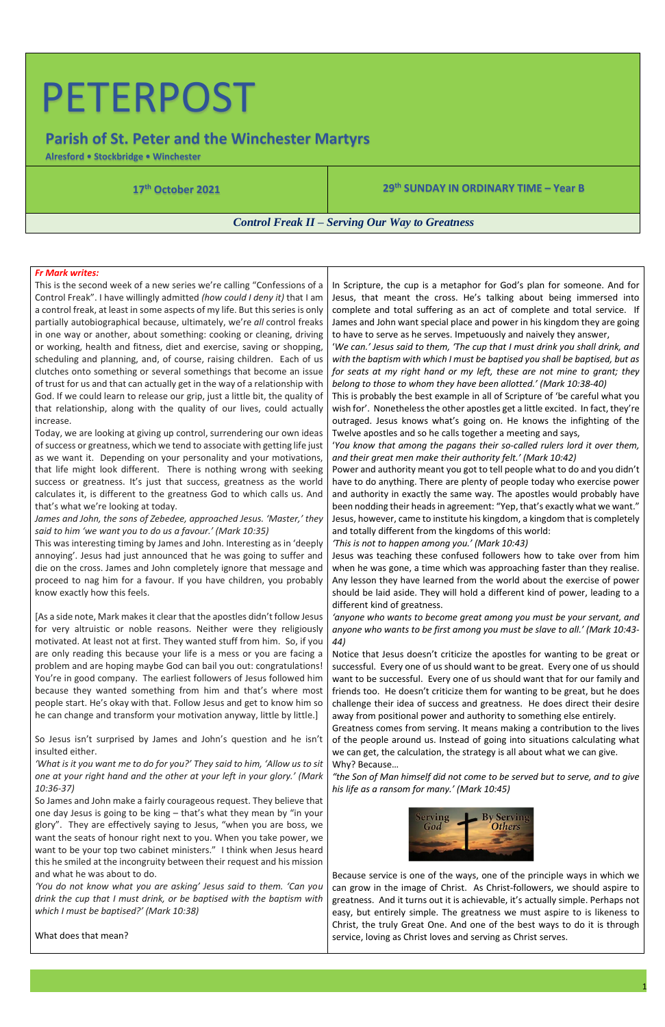# PETERPOST

### **Parish of St. Peter and the Winchester Martyrs**

**Alresford • Stockbridge • Winchester**

**17 th October 2021 29**

### **th SUNDAY IN ORDINARY TIME – Year B**

*Control Freak II – Serving Our Way to Greatness*

### *Fr Mark writes:*

This is the second week of a new series we're calling "Confessions of a Control Freak". I have willingly admitted *(how could I deny it)* that I am a control freak, at least in some aspects of my life. But this series is only partially autobiographical because, ultimately, we're *all* control freaks in one way or another, about something: cooking or cleaning, driving or working, health and fitness, diet and exercise, saving or shopping, scheduling and planning, and, of course, raising children. Each of us clutches onto something or several somethings that become an issue of trust for us and that can actually get in the way of a relationship with God. If we could learn to release our grip, just a little bit, the quality of that relationship, along with the quality of our lives, could actually increase.

Today, we are looking at giving up control, surrendering our own ideas of success or greatness, which we tend to associate with getting life just as we want it. Depending on your personality and your motivations, that life might look different. There is nothing wrong with seeking success or greatness. It's just that success, greatness as the world calculates it, is different to the greatness God to which calls us. And that's what we're looking at today.

*James and John, the sons of Zebedee, approached Jesus. 'Master,' they said to him 'we want you to do us a favour.' (Mark 10:35)*

This was interesting timing by James and John. Interesting as in 'deeply annoying'. Jesus had just announced that he was going to suffer and die on the cross. James and John completely ignore that message and proceed to nag him for a favour. If you have children, you probably know exactly how this feels.

[As a side note, Mark makes it clear that the apostles didn't follow Jesus for very altruistic or noble reasons. Neither were they religiously motivated. At least not at first. They wanted stuff from him. So, if you are only reading this because your life is a mess or you are facing a problem and are hoping maybe God can bail you out: congratulations! You're in good company. The earliest followers of Jesus followed him because they wanted something from him and that's where most people start. He's okay with that. Follow Jesus and get to know him so he can change and transform your motivation anyway, little by little.]

So Jesus isn't surprised by James and John's question and he isn't insulted either.

*'What is it you want me to do for you?' They said to him, 'Allow us to sit one at your right hand and the other at your left in your glory.' (Mark 10:36-37)*

So James and John make a fairly courageous request. They believe that one day Jesus is going to be king – that's what they mean by "in your glory". They are effectively saying to Jesus, "when you are boss, we want the seats of honour right next to you. When you take power, we want to be your top two cabinet ministers." I think when Jesus heard this he smiled at the incongruity between their request and his mission and what he was about to do.

*'You do not know what you are asking' Jesus said to them. 'Can you drink the cup that I must drink, or be baptised with the baptism with which I must be baptised?' (Mark 10:38)*

What does that mean?

In Scripture, the cup is a metaphor for God's plan for someone. And for Jesus, that meant the cross. He's talking about being immersed into complete and total suffering as an act of complete and total service. If James and John want special place and power in his kingdom they are going to have to serve as he serves. Impetuously and naively they answer,

'*We can.' Jesus said to them, 'The cup that I must drink you shall drink, and with the baptism with which I must be baptised you shall be baptised, but as for seats at my right hand or my left, these are not mine to grant; they belong to those to whom they have been allotted.' (Mark 10:38-40)*

This is probably the best example in all of Scripture of 'be careful what you wish for'. Nonetheless the other apostles get a little excited. In fact, they're outraged. Jesus knows what's going on. He knows the infighting of the Twelve apostles and so he calls together a meeting and says,

'*You know that among the pagans their so-called rulers lord it over them, and their great men make their authority felt.' (Mark 10:42)*

Power and authority meant you got to tell people what to do and you didn't have to do anything. There are plenty of people today who exercise power and authority in exactly the same way. The apostles would probably have been nodding their heads in agreement: "Yep, that's exactly what we want." Jesus, however, came to institute his kingdom, a kingdom that is completely and totally different from the kingdoms of this world:

*'This is not to happen among you.' (Mark 10:43)*

Jesus was teaching these confused followers how to take over from him when he was gone, a time which was approaching faster than they realise. Any lesson they have learned from the world about the exercise of power should be laid aside. They will hold a different kind of power, leading to a different kind of greatness.

*'anyone who wants to become great among you must be your servant, and anyone who wants to be first among you must be slave to all.' (Mark 10:43- 44)*

Notice that Jesus doesn't criticize the apostles for wanting to be great or successful. Every one of us should want to be great. Every one of us should want to be successful. Every one of us should want that for our family and friends too. He doesn't criticize them for wanting to be great, but he does challenge their idea of success and greatness. He does direct their desire away from positional power and authority to something else entirely.

Greatness comes from serving. It means making a contribution to the lives of the people around us. Instead of going into situations calculating what we can get, the calculation, the strategy is all about what we can give. Why? Because…

*"the Son of Man himself did not come to be served but to serve, and to give his life as a ransom for many.' (Mark 10:45)*



Because service is one of the ways, one of the principle ways in which we can grow in the image of Christ. As Christ-followers, we should aspire to greatness. And it turns out it is achievable, it's actually simple. Perhaps not easy, but entirely simple. The greatness we must aspire to is likeness to Christ, the truly Great One. And one of the best ways to do it is through service, loving as Christ loves and serving as Christ serves.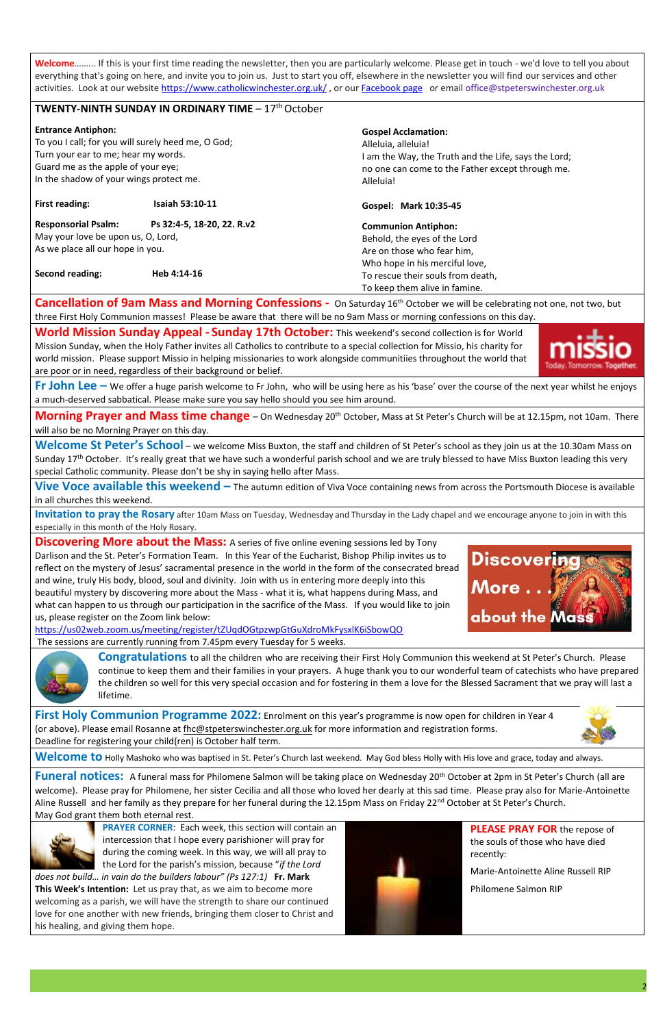**Welcome**……... If this is your first time reading the newsletter, then you are particularly welcome. Please get in touch - we'd love to tell you about everything that's going on here, and invite you to join us. Just to start you off, elsewhere in the newsletter you will find our services and other activiti[e](https://www.catholicwinchester.org.uk/)s. Look at our website <https://www.catholicwinchester.org.uk/>, or our [Facebook page](https://www.facebook.com/catholicwinchester) or email office@stpeterswinchester.org.uk

### **TWENTY-NINTH SUNDAY IN ORDINARY TIME –**  $17^{\text{th}}$ **October**

| <b>Entrance Antiphon:</b><br>To you I call; for you will surely heed me, O God;<br>Turn your ear to me; hear my words.<br>Guard me as the apple of your eye;<br>In the shadow of your wings protect me. |                        | <b>Gospel Acclamation:</b><br>Alleluia, alleluia!<br>I am the Way, the Truth and the Life, says the Lord;<br>no one can come to the Father except through me.<br>Alleluia! |  |  |
|---------------------------------------------------------------------------------------------------------------------------------------------------------------------------------------------------------|------------------------|----------------------------------------------------------------------------------------------------------------------------------------------------------------------------|--|--|
| <b>First reading:</b>                                                                                                                                                                                   | <b>Isaiah 53:10-11</b> | Gospel: Mark 10:35-45                                                                                                                                                      |  |  |
| <b>Responsorial Psalm:</b><br>Ps 32:4-5, 18-20, 22. R.v2<br>May your love be upon us, O, Lord,<br>As we place all our hope in you.<br>Second reading:<br>Heb 4:14-16                                    |                        | <b>Communion Antiphon:</b><br>Behold, the eyes of the Lord<br>Are on those who fear him,<br>Who hope in his merciful love,                                                 |  |  |
|                                                                                                                                                                                                         |                        | To rescue their souls from death,<br>To keep them alive in famine.                                                                                                         |  |  |

Welcome St Peter's School – we welcome Miss Buxton, the staff and children of St Peter's school as they join us at the 10.30am Mass on Sunday 17<sup>th</sup> October. It's really great that we have such a wonderful parish school and we are truly blessed to have Miss Buxton leading this very special Catholic community. Please don't be shy in saying hello after Mass.

**Cancellation of 9am Mass and Morning Confessions -** On Saturday 16th October we will be celebrating not one, not two, but three First Holy Communion masses! Please be aware that there will be no 9am Mass or morning confessions on this day.

**World Mission Sunday Appeal - Sunday 17th October:** This weekend's second collection is for World Mission Sunday, when the Holy Father invites all Catholics to contribute to a special collection for Missio, his charity for world mission. Please support Missio in helping missionaries to work alongside communitiies throughout the world that are poor or in need, regardless of their background or belief.



**Discovering More about the Mass:** A series of five online evening sessions led by Tony Darlison and the St. Peter's Formation Team. In this Year of the Eucharist, Bishop Philip invites us to reflect on the mystery of Jesus' sacramental presence in the world in the form of the consecrated bread and wine, truly His body, blood, soul and divinity. Join with us in entering more deeply into this beautiful mystery by discovering more about the Mass - what it is, what happens during Mass, and what can happen to us through our participation in the sacrifice of the Mass.If you would like to join us, please register on the Zoom link below:

**Fr John Lee –** We offer a huge parish welcome to Fr John, who will be using here as his 'base' over the course of the next year whilst he enjoys a much-deserved sabbatical. Please make sure you say hello should you see him around.

**Morning Prayer and Mass time change** – On Wednesday 20th October, Mass at St Peter's Church will be at 12.15pm, not 10am. There will also be no Morning Prayer on this day.

**Funeral notices:** A funeral mass for Philomene Salmon will be taking place on Wednesday 20<sup>th</sup> October at 2pm in St Peter's Church (all are welcome). Please pray for Philomene, her sister Cecilia and all those who loved her dearly at this sad time. Please pray also for Marie-Antoinette Aline Russell and her family as they prepare for her funeral during the 12.15pm Mass on Friday 22<sup>nd</sup> October at St Peter's Church. May God grant them both eternal rest.



**Vive Voce available this weekend –** The autumn edition of Viva Voce containing news from across the Portsmouth Diocese is available in all churches this weekend.

**Invitation to pray the Rosary** after 10am Mass on Tuesday, Wednesday and Thursday in the Lady chapel and we encourage anyone to join in with this especially in this month of the Holy Rosary.

<https://us02web.zoom.us/meeting/register/tZUqdOGtpzwpGtGuXdroMkFysxlK6iSbowQO> The sessions are currently running from 7.45pm every Tuesday for 5 weeks.



**First Holy Communion Programme 2022:** Enrolment on this year's programme is now open for children in Year 4 (or above). Please email Rosanne at [fhc@stpeterswinchester.org.uk](mailto:fhc@stpeterswinchester.org.uk) for more information and registration forms. Deadline for registering your child(ren) is October half term.



**Welcome to** Holly Mashoko who was baptised in St. Peter's Church last weekend. May God bless Holly with His love and grace, today and always.

**PRAYER CORNER**: Each week, this section will contain an intercession that I hope every parishioner will pray for during the coming week. In this way, we will all pray to the Lord for the parish's mission, because "*if the Lord* 

*does not build… in vain do the builders labour" (Ps 127:1)* **Fr. Mark This Week's Intention:** Let us pray that, as we aim to become more welcoming as a parish, we will have the strength to share our continued love for one another with new friends, bringing them closer to Christ and his healing, and giving them hope.



**PLEASE PRAY FOR** the repose of the souls of those who have died recently:

Marie-Antoinette Aline Russell RIP

Philomene Salmon RIP

**Discoverin** 

about the Mas

More..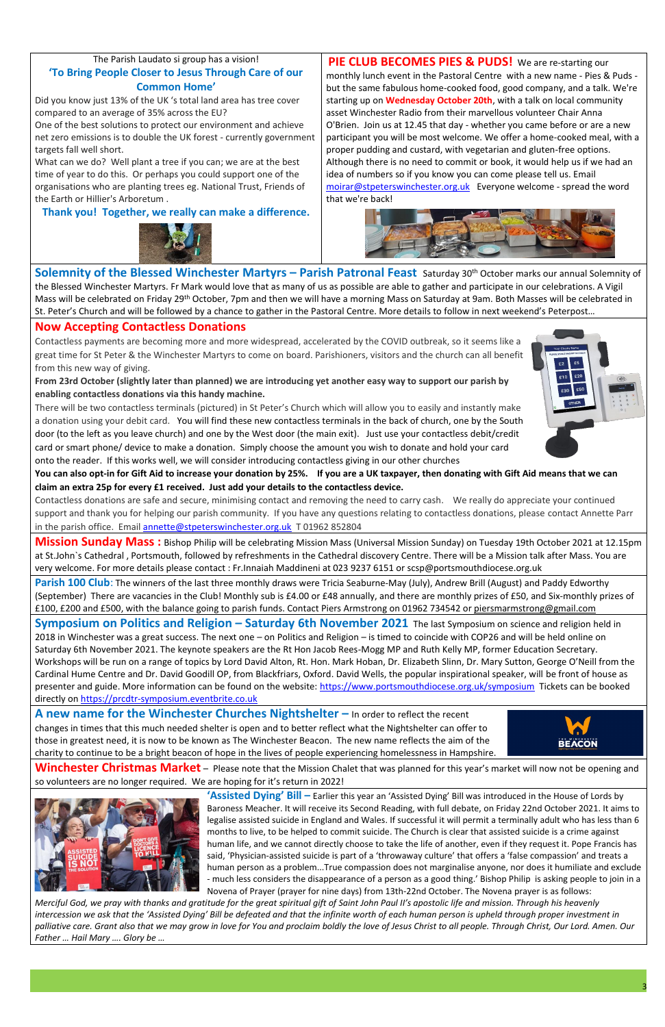### The Parish Laudato si group has a vision! **'To Bring People Closer to Jesus Through Care of our Common Home'**

Did you know just 13% of the UK 's total land area has tree cover compared to an average of 35% across the EU?

One of the best solutions to protect our environment and achieve net zero emissions is to double the UK forest - currently government targets fall well short.

What can we do? Well plant a tree if you can; we are at the best time of year to do this. Or perhaps you could support one of the organisations who are planting trees eg. National Trust, Friends of the Earth or Hillier's Arboretum .

**Thank you! Together, we really can make a difference.**



**PIE CLUB BECOMES PIES & PUDS!** We are re-starting our monthly lunch event in the Pastoral Centre with a new name - Pies & Puds but the same fabulous home-cooked food, good company, and a talk. We're starting up on **Wednesday October 20th**, with a talk on local community asset Winchester Radio from their marvellous volunteer Chair Anna O'Brien. Join us at 12.45 that day - whether you came before or are a new participant you will be most welcome. We offer a home-cooked meal, with a proper pudding and custard, with vegetarian and gluten-free options. Although there is no need to commit or book, it would help us if we had an idea of numbers so if you know you can come please tell us. Email [moirar@stpeterswinchester.org.uk](mailto:moirar@stpeterswinchester.org.uk) Everyone welcome - spread the word that we're back!



Contactless donations are safe and secure, minimising contact and removing the need to carry cash. We really do appreciate your continued support and thank you for helping our parish community. If you have any questions relating to contactless donations, please contact Annette Parr in the parish office. Email [annette@stpeterswinchester.org.uk](mailto:annette@stpeterswinchester.org.uk) T 01962 852804

**Solemnity of the Blessed Winchester Martyrs – Parish Patronal Feast** Saturday 30th October marks our annual Solemnity of the Blessed Winchester Martyrs. Fr Mark would love that as many of us as possible are able to gather and participate in our celebrations. A Vigil Mass will be celebrated on Friday 29<sup>th</sup> October, 7pm and then we will have a morning Mass on Saturday at 9am. Both Masses will be celebrated in St. Peter's Church and will be followed by a chance to gather in the Pastoral Centre. More details to follow in next weekend's Peterpost…

### **Now Accepting Contactless Donations**

Contactless payments are becoming more and more widespread, accelerated by the COVID outbreak, so it seems like a great time for St Peter & the Winchester Martyrs to come on board. Parishioners, visitors and the church can all benefit from this new way of giving.

**From 23rd October (slightly later than planned) we are introducing yet another easy way to support our parish by enabling contactless donations via this handy machine.** 



There will be two contactless terminals (pictured) in St Peter's Church which will allow you to easily and instantly make a donation using your debit card. You will find these new contactless terminals in the back of church, one by the South door (to the left as you leave church) and one by the West door (the main exit). Just use your contactless debit/credit card or smart phone/ device to make a donation. Simply choose the amount you wish to donate and hold your card onto the reader. If this works well, we will consider introducing contactless giving in our other churches

**A new name for the Winchester Churches Nightshelter – In order to reflect the recent** changes in times that this much needed shelter is open and to better reflect what the Nightshelter can offer to those in greatest need, it is now to be known as The Winchester Beacon. The new name reflects the aim of the charity to continue to be a bright beacon of hope in the lives of people experiencing homelessness in Hampshire.



**You can also opt-in for Gift Aid to increase your donation by 25%. If you are a UK taxpayer, then donating with Gift Aid means that we can claim an extra 25p for every £1 received. Just add your details to the contactless device.** 

Merciful God, we pray with thanks and gratitude for the great spiritual gift of Saint John Paul II's apostolic life and mission. Through his heavenly intercession we ask that the 'Assisted Dying' Bill be defeated and that the infinite worth of each human person is upheld through proper investment in palliative care. Grant also that we may grow in love for You and proclaim boldly the love of Jesus Christ to all people. Through Christ, Our Lord. Amen. Our *Father … Hail Mary …. Glory be …*

**Mission Sunday Mass :** Bishop Philip will be celebrating Mission Mass (Universal Mission Sunday) on Tuesday 19th October 2021 at 12.15pm at St.John`s Cathedral , Portsmouth, followed by refreshments in the Cathedral discovery Centre. There will be a Mission talk after Mass. You are very welcome. For more details please contact : Fr.Innaiah Maddineni at 023 9237 6151 or scsp@portsmouthdiocese.org.uk

**Parish 100 Club**: The winners of the last three monthly draws were Tricia Seaburne-May (July), Andrew Brill (August) and Paddy Edworthy (September) There are vacancies in the Club! Monthly sub is £4.00 or £48 annually, and there are monthly prizes of £50, and Six-monthly prizes of £100, £200 and £500, with the balance going to parish funds. Contact Piers Armstrong on 01962 734542 or [piersmarmstrong@gmail.com](mailto:piersmarmstrong@gmail.com)

**Symposium on Politics and Religion – Saturday 6th November 2021** The last Symposium on science and religion held in 2018 in Winchester was a great success. The next one – on Politics and Religion – is timed to coincide with COP26 and will be held online on Saturday 6th November 2021. The keynote speakers are the Rt Hon Jacob Rees-Mogg MP and Ruth Kelly MP, former Education Secretary. Workshops will be run on a range of topics by Lord David Alton, Rt. Hon. Mark Hoban, Dr. Elizabeth Slinn, Dr. Mary Sutton, George O'Neill from the Cardinal Hume Centre and Dr. David Goodill OP, from Blackfriars, Oxford. David Wells, the popular inspirational speaker, will be front of house as presenter and guide. More information can be found on the website:<https://www.portsmouthdiocese.org.uk/symposium>Tickets can be booked directly on [https://prcdtr-symposium.eventbrite.co.uk](https://prcdtr-symposium.eventbrite.co.uk/)

**Winchester Christmas Market** – Please note that the Mission Chalet that was planned for this year's market will now not be opening and so volunteers are no longer required. We are hoping for it's return in 2022!



**'Assisted Dying' Bill –** Earlier this year an 'Assisted Dying' Bill was introduced in the House of Lords by Baroness Meacher. It will receive its Second Reading, with full debate, on Friday 22nd October 2021. It aims to legalise assisted suicide in England and Wales. If successful it will permit a terminally adult who has less than 6 months to live, to be helped to commit suicide. The Church is clear that assisted suicide is a crime against human life, and we cannot directly choose to take the life of another, even if they request it. Pope Francis has said, 'Physician-assisted suicide is part of a 'throwaway culture' that offers a 'false compassion' and treats a human person as a problem...True compassion does not marginalise anyone, nor does it humiliate and exclude - much less considers the disappearance of a person as a good thing.' Bishop Philip is asking people to join in a Novena of Prayer (prayer for nine days) from 13th-22nd October. The Novena prayer is as follows: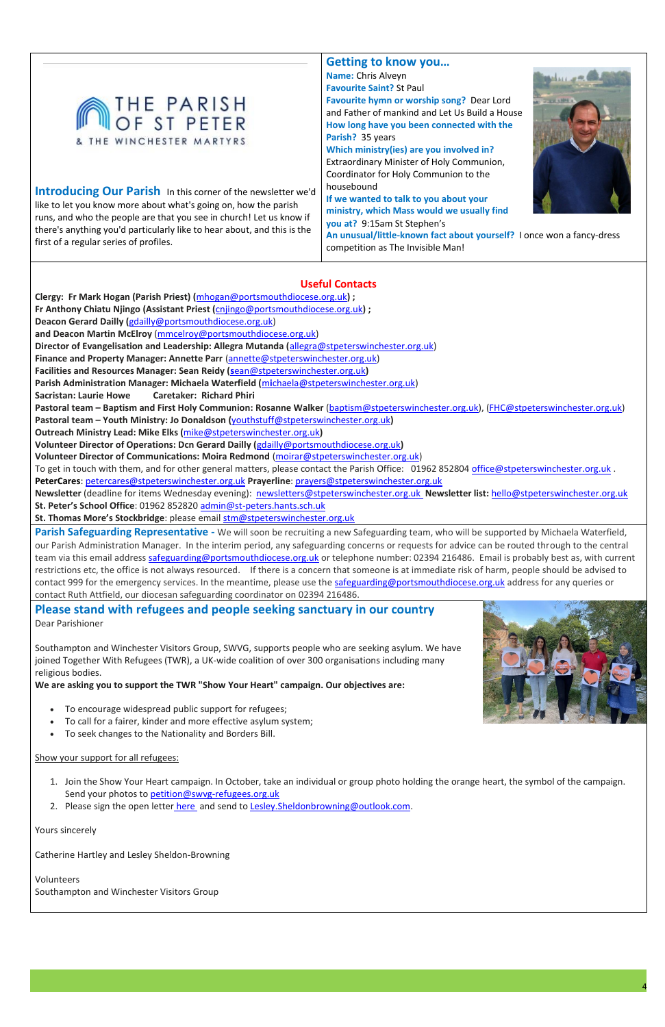#### Show your support for all refugees:



**Introducing Our Parish** In this corner of the newsletter we'd like to let you know more about what's going on, how the parish runs, and who the people are that you see in church! Let us know if there's anything you'd particularly like to hear about, and this is the first of a regular series of profiles.

**Getting to know you… Name:** Chris Alveyn **Favourite Saint?** St Paul **Favourite hymn or worship song?** Dear Lord and Father of mankind and Let Us Build a House **How long have you been connected with the Parish?** 35 years

**Which ministry(ies) are you involved in?**  Extraordinary Minister of Holy Communion, Coordinator for Holy Communion to the housebound

**If we wanted to talk to you about your ministry, which Mass would we usually find you at?** 9:15am St Stephen's



**An unusual/little-known fact about yourself?** I once won a fancy-dress competition as The Invisible Man!

### **Useful Contacts**

**Clergy: Fr Mark Hogan (Parish Priest) (**[mhogan@portsmouthdiocese.org.uk](mailto:mhogan@portsmouthdiocese.org.uk)**) ; Fr Anthony Chiatu Njingo (Assistant Priest (**[cnjingo@portsmouthdiocese.org.uk](mailto:cnjingo@portsmouthdiocese.org.uk)**) ;** 

**Deacon Gerard Dailly (**[gdailly@portsmouthdiocese.org.uk\)](mailto:gdailly@portsmouthdiocese.org.uk)

**and Deacon Martin McElroy** [\(mmcelroy@portsmouthdiocese.org.uk\)](mailto:mmcelroy@portsmouthdiocese.org.uk)

**Director of Evangelisation and Leadership: Allegra Mutanda (**[allegra@stpeterswinchester.org.uk\)](mailto:allegra@stpeterswinchester.org.uk)

**Finance and Property Manager: Annette Parr** [\(annette@stpeterswinchester.org.uk\)](mailto:annette@stpeterswinchester.org.uk)

**Facilities and Resources Manager: Sean Reidy (s**[ean@stpeterswinchester.org.uk](mailto:sean@stpeterswinchester.org.uk)**)** 

**Parish Administration Manager: Michaela Waterfield (**m**i**[chaela@stpeterswinchester.org.uk\)](mailto:michaela@stpeterswinchester.org.uk)

**Sacristan: Laurie Howe Caretaker: Richard Phiri**

**Pastoral team – Baptism and First Holy Communion: Rosanne Walker** [\(baptism@stpeterswinchester.org.uk\)](mailto:baptism@stpeterswinchester.org.uk), [\(FHC@stpeterswinchester.org.uk\)](mailto:FHC@stpeterswinchester.org.uk)

**Parish Safeguarding Representative** - We will soon be recruiting a new Safeguarding team, who will be supported by Michaela Waterfield, our Parish Administration Manager. In the interim period, any safeguarding concerns or requests for advice can be routed through to the central team via this email address [safeguarding@portsmouthdiocese.org.uk](mailto:safeguarding@portsmouthdiocese.org.uk) or telephone number: 02394 216486. Email is probably best as, with current restrictions etc, the office is not always resourced. If there is a concern that someone is at immediate risk of harm, people should be advised to contact 999 for the emergency services. In the meantime, please use the [safeguarding@portsmouthdiocese.org.uk](mailto:safeguarding@portsmouthdiocese.org.uk) address for any queries or contact Ruth Attfield, our diocesan safeguarding coordinator on 02394 216486.

**Pastoral team – Youth Ministry: Jo Donaldson (**[youthstuff@stpeterswinchester.org.uk](mailto:youthstuff@stpeterswinchester.org.uk)**)** 

**Outreach Ministry Lead: Mike Elks (**[mike@stpeterswinchester.org.uk](mailto:mike@stpeterswinchester.org.uk)**)** 

**Volunteer Director of Operations: Dcn Gerard Dailly (**[gdailly@portsmouthdiocese.org.uk](mailto:gdailly@portsmouthdiocese.org.uk)**)** 

- 1. Join the Show Your Heart campaign. In October, take an individual or group photo holding the orange heart, the symbol of the campaign. Send your photos to [petition@swvg-refugees.org.uk](https://mailto:petition@swvg-refugees.org.uk/)
- 2. Please sign the open letter [here](https://docs.google.com/forms/d/e/1FAIpQLSdxQhgbbj6P91ePaIxvnkI8UVTbVIrS4buo11LdFTiMafp4iw/viewform) and send to Lesley. Sheldonbrowning@outlook.com.

**Volunteer Director of Communications: Moira Redmond** [\(moirar@stpeterswinchester.org.uk\)](mailto:moira@stpeterswinchester.org.uk)

To get in touch with them, and for other general matters, please contact the Parish Office: 01962 852804 **office@stpeterswinchester.org.uk**.

**PeterCares**: [petercares@stpeterswinchester.org.uk](mailto:PeterCares : petercares@stpeterswinchester.org.uk) **Prayerline**: [prayers@stpeterswinchester.org.uk](mailto:prayers@stpeterswinchester.org.uk)

**Newsletter** (deadline for items Wednesday evening): [newsletters@stpeterswinchester.org.uk](file:///C:/Users/rl1c06/Downloads/newsletters@stpeterswinchester.org.ukâ¯) **Newsletter list:** [hello@stpeterswinchester.org.uk](mailto:hello@stpeterswinchester.org.uk) **St. Peter's School Office**: 01962 852820 [admin@st-peters.hants.sch.uk](mailto:admin@st-peters.hants.sch.uk)

St. Thomas More's Stockbridge: please email [stm@stpeterswinchester.org.uk](mailto:stm@stpeterswinchester.org.uk)

## **Please stand with refugees and people seeking sanctuary in our country**

Dear Parishioner

Southampton and Winchester Visitors Group, SWVG, supports people who are seeking asylum. We have joined Together With Refugees (TWR), a UK-wide coalition of over 300 organisations including many religious bodies.

**We are asking you to support the TWR "Show Your Heart" campaign. Our objectives are:**

- To encourage widespread public support for refugees;
- To call for a fairer, kinder and more effective asylum system;
- To seek changes to the Nationality and Borders Bill.



Yours sincerely

Catherine Hartley and Lesley Sheldon-Browning

Volunteers Southampton and Winchester Visitors Group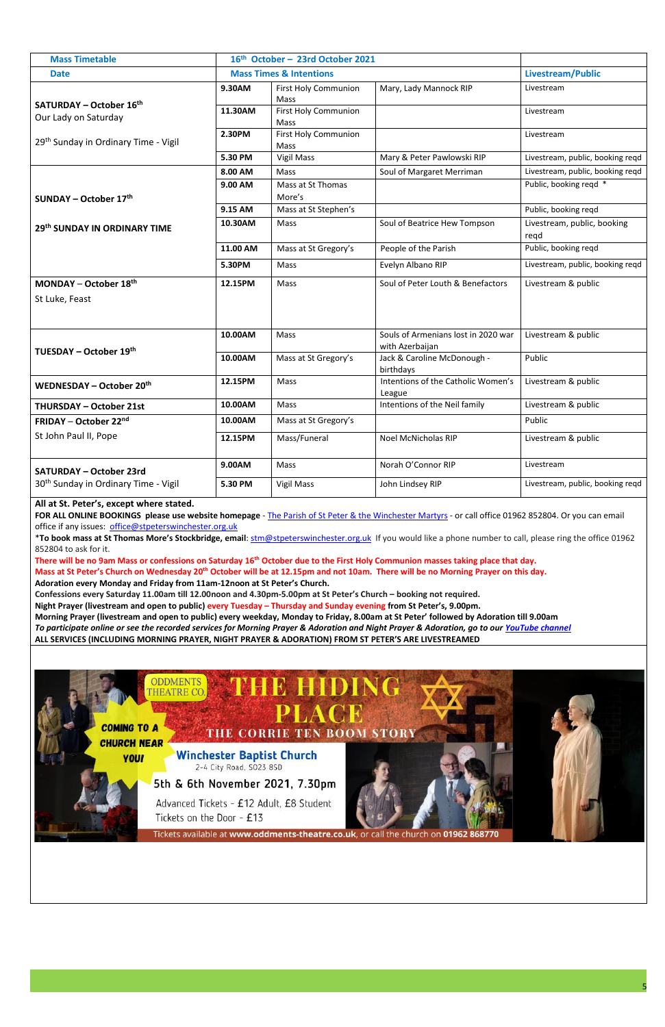| <b>Mass Timetable</b>                                  | 16th October - 23rd October 2021   |                                     |                                                        |                                     |
|--------------------------------------------------------|------------------------------------|-------------------------------------|--------------------------------------------------------|-------------------------------------|
| <b>Date</b>                                            | <b>Mass Times &amp; Intentions</b> |                                     |                                                        | Livestream/Public                   |
|                                                        | 9.30AM                             | <b>First Holy Communion</b><br>Mass | Mary, Lady Mannock RIP                                 | Livestream                          |
| <b>SATURDAY - October 16th</b><br>Our Lady on Saturday | 11.30AM                            | <b>First Holy Communion</b><br>Mass |                                                        | Livestream                          |
| 29 <sup>th</sup> Sunday in Ordinary Time - Vigil       | 2.30PM                             | <b>First Holy Communion</b><br>Mass |                                                        | Livestream                          |
|                                                        | 5.30 PM                            | <b>Vigil Mass</b>                   | Mary & Peter Pawlowski RIP                             | Livestream, public, booking reqd    |
|                                                        | 8.00 AM                            | Mass                                | Soul of Margaret Merriman                              | Livestream, public, booking reqd    |
| SUNDAY – October $17th$                                | 9.00 AM                            | Mass at St Thomas<br>More's         |                                                        | Public, booking regd *              |
|                                                        | 9.15 AM                            | Mass at St Stephen's                |                                                        | Public, booking reqd                |
| 29th SUNDAY IN ORDINARY TIME                           | 10.30AM                            | Mass                                | Soul of Beatrice Hew Tompson                           | Livestream, public, booking<br>regd |
|                                                        | 11.00 AM                           | Mass at St Gregory's                | People of the Parish                                   | Public, booking reqd                |
|                                                        | 5.30PM                             | Mass                                | Evelyn Albano RIP                                      | Livestream, public, booking regd    |
| MONDAY – October $18th$<br>St Luke, Feast              | 12.15PM                            | Mass                                | Soul of Peter Louth & Benefactors                      | Livestream & public                 |
|                                                        | 10.00AM                            | Mass                                | Souls of Armenians lost in 2020 war<br>with Azerbaijan | Livestream & public                 |
| TUESDAY - October 19th                                 | 10.00AM                            | Mass at St Gregory's                | Jack & Caroline McDonough -<br>birthdays               | Public                              |
| WEDNESDAY - October 20th                               | 12.15PM                            | Mass                                | Intentions of the Catholic Women's<br>League           | Livestream & public                 |
| <b>THURSDAY - October 21st</b>                         | 10.00AM                            | Mass                                | Intentions of the Neil family                          | Livestream & public                 |
| <b>FRIDAY – October 22nd</b>                           | 10.00AM                            | Mass at St Gregory's                |                                                        | Public                              |
| St John Paul II, Pope                                  | 12.15PM                            | Mass/Funeral                        | Noel McNicholas RIP                                    | Livestream & public                 |
| <b>SATURDAY - October 23rd</b>                         | 9.00AM                             | Mass                                | Norah O'Connor RIP                                     | Livestream                          |
| 30 <sup>th</sup> Sunday in Ordinary Time - Vigil       | 5.30 PM                            | <b>Vigil Mass</b>                   | John Lindsey RIP                                       | Livestream, public, booking reqd    |

**FOR ALL ONLINE BOOKINGS please use website homepage** - The Parish of St Peter & the [Winchester](https://catholicwinchester.org.uk/) Martyrs - or call office 01962 852804. Or you can email office if any issues: [office@stpeterswinchester.org.uk](mailto:office@stpeterswinchester.org.uk)

### **All at St. Peter's, except where stated.**

\***To book mass at St Thomas More's Stockbridge, email**: [stm@stpeterswinchester.org.uk](mailto:stm@stpeterswinchester.org.uk) If you would like a phone number to call, please ring the office 01962 852804 to ask for it.

There will be no 9am Mass or confessions on Saturday 16<sup>th</sup> October due to the First Holy Communion masses taking place that day. Mass at St Peter's Church on Wednesday 20<sup>th</sup> October will be at 12.15pm and not 10am. There will be no Morning Prayer on this day.

**Adoration every Monday and Friday from 11am-12noon at St Peter's Church.**

**Confessions every Saturday 11.00am till 12.00noon and 4.30pm-5.00pm at St Peter's Church – booking not required.** 

**Night Prayer (livestream and open to public) every Tuesday – Thursday and Sunday evening from St Peter's, 9.00pm.**

**Morning Prayer (livestream and open to public) every weekday, Monday to Friday, 8.00am at St Peter' followed by Adoration till 9.00am**

*To participate online or see the recorded services for Morning Prayer & Adoration and Night Prayer & Adoration, go to our [YouTube channel](https://www.youtube.com/channel/UCbGgrcbDyLY75pmCAopfLIg/live)*

**ALL SERVICES (INCLUDING MORNING PRAYER, NIGHT PRAYER & ADORATION) FROM ST PETER'S ARE LIVESTREAMED**